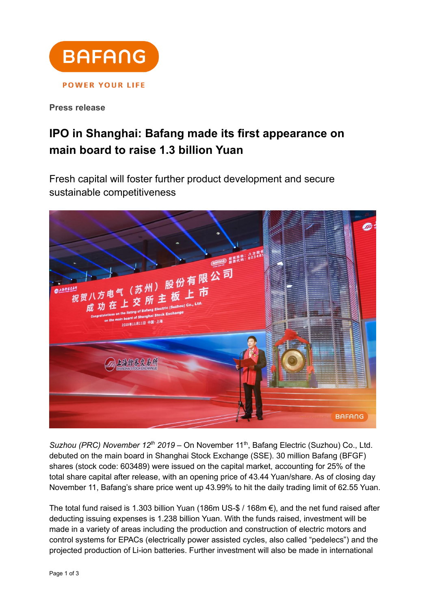

**Press release**

## **IPO in Shanghai: Bafang made its first appearance on main board to raise 1.3 billion Yuan**

Fresh capital will foster further product development and secure sustainable competitiveness



*Suzhou (PRC) November*  $12^{th}$  2019 – On November  $11^{th}$ , Bafang Electric (Suzhou) Co., Ltd. debuted on the main board in Shanghai Stock Exchange (SSE). 30 million Bafang (BFGF) shares (stock code: 603489) were issued on the capital market, accounting for 25% of the total share capital after release, with an opening price of 43.44 Yuan/share. As of closing day November 11, Bafang's share price went up 43.99% to hit the daily trading limit of 62.55 Yuan.

The total fund raised is 1.303 billion Yuan (186m US-\$ / 168m €), and the net fund raised after deducting issuing expenses is 1.238 billion Yuan. With the funds raised, investment will be made in a variety of areas including the production and construction of electric motors and control systems for EPACs (electrically power assisted cycles, also called "pedelecs") and the projected production of Li-ion batteries. Further investment will also be made in international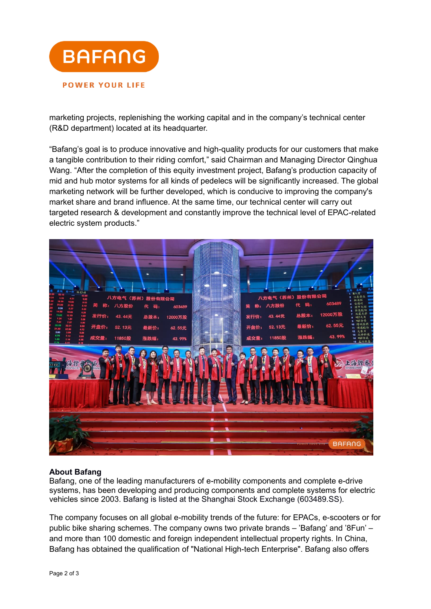

marketing projects, replenishing the working capital and in the company's technical center (R&D department) located at its headquarter.

"Bafang's goal is to produce innovative and high-quality products for our customers that make a tangible contribution to their riding comfort," said Chairman and Managing Director Qinghua Wang. "After the completion of this equity investment project, Bafang's production capacity of mid and hub motor systems for all kinds of pedelecs will be significantly increased. The global marketing network will be further developed, which is conducive to improving the company's market share and brand influence. At the same time, our technical center will carry out targeted research & development and constantly improve the technical level of EPAC-related electric system products."



## **About Bafang**

Bafang, one of the leading manufacturers of e-mobility components and complete e-drive systems, has been developing and producing components and complete systems for electric vehicles since 2003. Bafang is listed at the Shanghai Stock Exchange (603489.SS).

The company focuses on all global e-mobility trends of the future: for EPACs, e-scooters or for public bike sharing schemes. The company owns two private brands – 'Bafang' and '8Fun' – and more than 100 domestic and foreign independent intellectual property rights. In China, Bafang has obtained the qualification of "National High-tech Enterprise". Bafang also offers